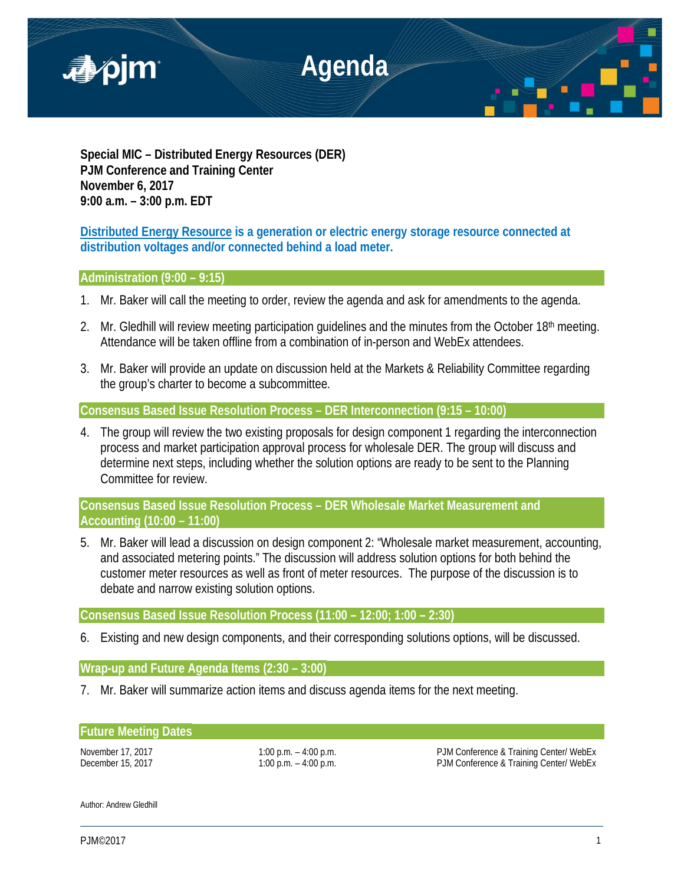

**Special MIC – Distributed Energy Resources (DER) PJM Conference and Training Center November 6, 2017 9:00 a.m. – 3:00 p.m. EDT**

**Distributed Energy Resource is a generation or electric energy storage resource connected at distribution voltages and/or connected behind a load meter.**

## **Administration (9:00 – 9:15)**

- 1. Mr. Baker will call the meeting to order, review the agenda and ask for amendments to the agenda.
- 2. Mr. Gledhill will review meeting participation guidelines and the minutes from the October 18<sup>th</sup> meeting. Attendance will be taken offline from a combination of in-person and WebEx attendees.
- 3. Mr. Baker will provide an update on discussion held at the Markets & Reliability Committee regarding the group's charter to become a subcommittee.

**Consensus Based Issue Resolution Process – DER Interconnection (9:15 – 10:00)**

4. The group will review the two existing proposals for design component 1 regarding the interconnection process and market participation approval process for wholesale DER. The group will discuss and determine next steps, including whether the solution options are ready to be sent to the Planning Committee for review.

**Consensus Based Issue Resolution Process – DER Wholesale Market Measurement and Accounting (10:00 – 11:00)**

5. Mr. Baker will lead a discussion on design component 2: "Wholesale market measurement, accounting, and associated metering points." The discussion will address solution options for both behind the customer meter resources as well as front of meter resources. The purpose of the discussion is to debate and narrow existing solution options.

**Consensus Based Issue Resolution Process (11:00 – 12:00; 1:00 – 2:30)**

6. Existing and new design components, and their corresponding solutions options, will be discussed.

# **Wrap-up and Future Agenda Items (2:30 – 3:00)**

7. Mr. Baker will summarize action items and discuss agenda items for the next meeting.

### **Future Meeting Dates**

November 17, 2017 **1:00 p.m.** – 4:00 p.m. **PJM Conference & Training Center/ WebEx** December 15, 2017 1:00 p.m. – 4:00 p.m. – 4:00 p.m. PJM Conference & Training Center/ WebEx

Author: Andrew Gledhill